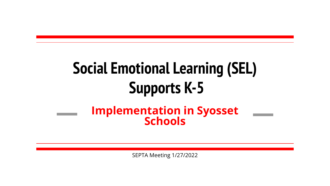### **Social Emotional Learning (SEL) Supports K-5 Implementation in Syosset Schools**

SEPTA Meeting 1/27/2022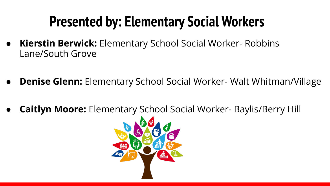### **Presented by: Elementary Social Workers**

- **● Kierstin Berwick:** Elementary School Social Worker- Robbins Lane/South Grove
- **Denise Glenn:** Elementary School Social Worker- Walt Whitman/Village
- **● Caitlyn Moore:** Elementary School Social Worker- Baylis/Berry Hill

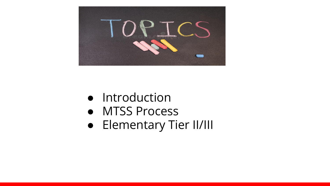

- Introduction
- **●** MTSS Process
- Elementary Tier II/III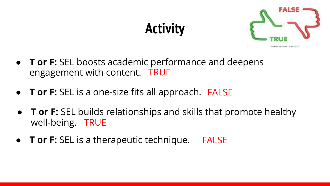# **Activity**



- **T or F:** SEL boosts academic performance and deepens engagement with content. TRUE
- **T or F:** SEL is a one-size fits all approach. FALSE
- **T or F:** SEL builds relationships and skills that promote healthy well-being. TRUE
- **T or F:** SEL is a therapeutic technique. FALSE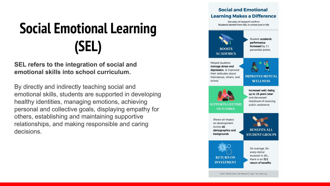# **Social Emotional Learning (SEL)**

**SEL refers to the integration of social and emotional skills into school curriculum.**

By directly and indirectly teaching social and emotional skills, students are supported in developing healthy identities, managing emotions, achieving personal and collective goals, displaying empathy for others, establishing and maintaining supportive relationships, and making responsible and caring decisions.

### **Learning Makes a Difference** Decades of research confirm: Students benefit from SEL in school and in life. Student academic performance increased by 11 **ROOSTS** percentile points **ACADEMICS** Helped students manage stress and depression, & improved their attitudes about **IMPROVES MENTAL** themselves, others, and school **WELLNESS** Increased well-being up to 18 years later and decreased likelihood of receiving **SUPPORTS LIFETIME** public assistance **OUTCOMES** Shows an impact on development across all **BENEFITS ALI** demographics and backarounds **STUDENT GROUPS** On average, for every dollar invested in SEL. **RETURNON** there is an \$11 **INVESTMENT** return of benefits From "What Does The Research Say?" on casel.org

**Social and Emotional**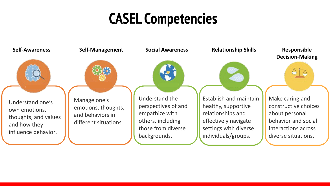### **CASEL Competencies**

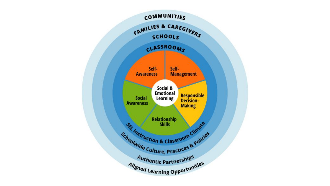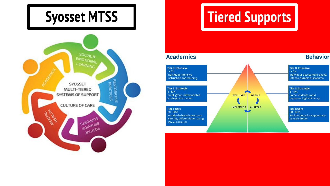

# **Syosset MTSS | Tiered Supports**

### **Academics**

 $1 - 5%$ 

 $5 - 10%$ 

### Tier 3: Intensive Tier 3: Intensive  $1 - 5%$ Individual, intensive Individual, assessment-based, instruction and learning. intense, durable procedures Tier 2: Strategic **Tier 2: Strategic**  $5 - 10%$ Small group, differentiated, Some students, rapid **EVALUATE DEFINE** strategic instruction response, high efficiency IMPLEMENT ANALYZE **Tier 1: Core** Tier 1: Core  $80 - 90%$  $80 - 90%$ Positive behavior support and Standards-based classroom learning: differentiation using school climate core curriculum

**Behavior**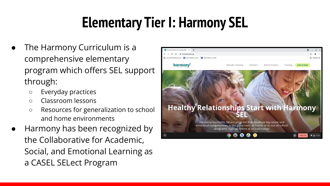# **Elementary Tier I: Harmony SEL**

- The Harmony Curriculum is a comprehensive elementary program which offers SEL support through:
	- Everyday practices
	- Classroom lessons
	- Resources for generalization to school and home environments
- Harmony has been recognized by the Collaborative for Academic, Social, and Emotional Learning as a CASEL SELect Program

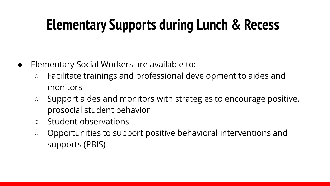# **Elementary Supports during Lunch & Recess**

- Elementary Social Workers are available to:
	- Facilitate trainings and professional development to aides and monitors
	- Support aides and monitors with strategies to encourage positive, prosocial student behavior
	- Student observations
	- Opportunities to support positive behavioral interventions and supports (PBIS)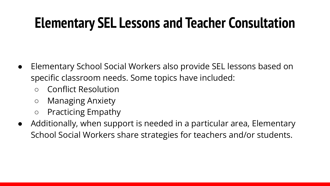### **Elementary SEL Lessons and Teacher Consultation**

- Elementary School Social Workers also provide SEL lessons based on specific classroom needs. Some topics have included:
	- Conflict Resolution
	- Managing Anxiety
	- Practicing Empathy
- Additionally, when support is needed in a particular area, Elementary School Social Workers share strategies for teachers and/or students.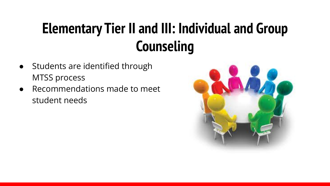# **Elementary Tier II and III: Individual and Group Counseling**

- Students are identified through MTSS process
- Recommendations made to meet student needs

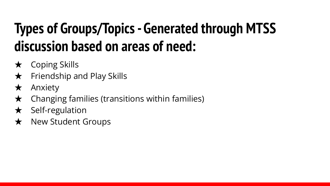# **Types of Groups/Topics - Generated through MTSS discussion based on areas of need:**

- $\star$  Coping Skills
- $\star$  Friendship and Play Skills
- ★ Anxiety
- $\star$  Changing families (transitions within families)
- $\star$  Self-regulation
- ★ New Student Groups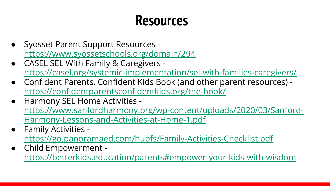### **Resources**

- Syosset Parent Support Resources <https://www.syossetschools.org/domain/294>
- CASEL SEL With Family & Caregivers <https://casel.org/systemic-implementation/sel-with-families-caregivers/>
- Confident Parents, Confident Kids Book (and other parent resources) <https://confidentparentsconfidentkids.org/the-book/>
- Harmony SEL Home Activities [https://www.sanfordharmony.org/wp-content/uploads/2020/03/Sanford-](https://www.sanfordharmony.org/wp-content/uploads/2020/03/Sanford-Harmony-Lessons-and-Activities-at-Home-1.pdf)[Harmony-Lessons-and-Activities-at-Home-1.pdf](https://www.sanfordharmony.org/wp-content/uploads/2020/03/Sanford-Harmony-Lessons-and-Activities-at-Home-1.pdf)
- Family Activities <https://go.panoramaed.com/hubfs/Family-Activities-Checklist.pdf>
- Child Empowerment <https://betterkids.education/parents#empower-your-kids-with-wisdom>